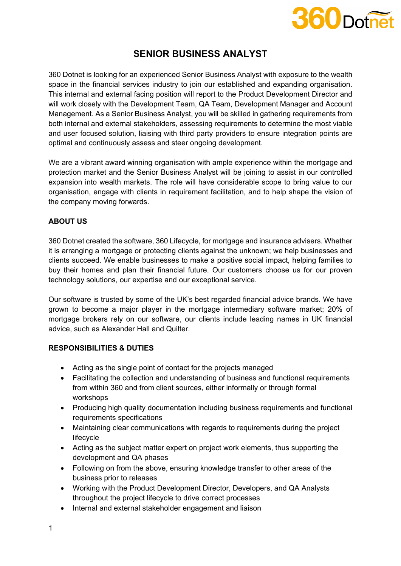

# **SENIOR BUSINESS ANALYST**

360 Dotnet is looking for an experienced Senior Business Analyst with exposure to the wealth space in the financial services industry to join our established and expanding organisation. This internal and external facing position will report to the Product Development Director and will work closely with the Development Team, QA Team, Development Manager and Account Management. As a Senior Business Analyst, you will be skilled in gathering requirements from both internal and external stakeholders, assessing requirements to determine the most viable and user focused solution, liaising with third party providers to ensure integration points are optimal and continuously assess and steer ongoing development.

We are a vibrant award winning organisation with ample experience within the mortgage and protection market and the Senior Business Analyst will be joining to assist in our controlled expansion into wealth markets. The role will have considerable scope to bring value to our organisation, engage with clients in requirement facilitation, and to help shape the vision of the company moving forwards.

### **ABOUT US**

360 Dotnet created the software, 360 Lifecycle, for mortgage and insurance advisers. Whether it is arranging a mortgage or protecting clients against the unknown; we help businesses and clients succeed. We enable businesses to make a positive social impact, helping families to buy their homes and plan their financial future. Our customers choose us for our proven technology solutions, our expertise and our exceptional service.

Our software is trusted by some of the UK's best regarded financial advice brands. We have grown to become a major player in the mortgage intermediary software market; 20% of mortgage brokers rely on our software, our clients include leading names in UK financial advice, such as Alexander Hall and Quilter.

#### **RESPONSIBILITIES & DUTIES**

- Acting as the single point of contact for the projects managed
- Facilitating the collection and understanding of business and functional requirements from within 360 and from client sources, either informally or through formal workshops
- Producing high quality documentation including business requirements and functional requirements specifications
- Maintaining clear communications with regards to requirements during the project lifecycle
- Acting as the subject matter expert on project work elements, thus supporting the development and QA phases
- Following on from the above, ensuring knowledge transfer to other areas of the business prior to releases
- Working with the Product Development Director, Developers, and QA Analysts throughout the project lifecycle to drive correct processes
- Internal and external stakeholder engagement and liaison